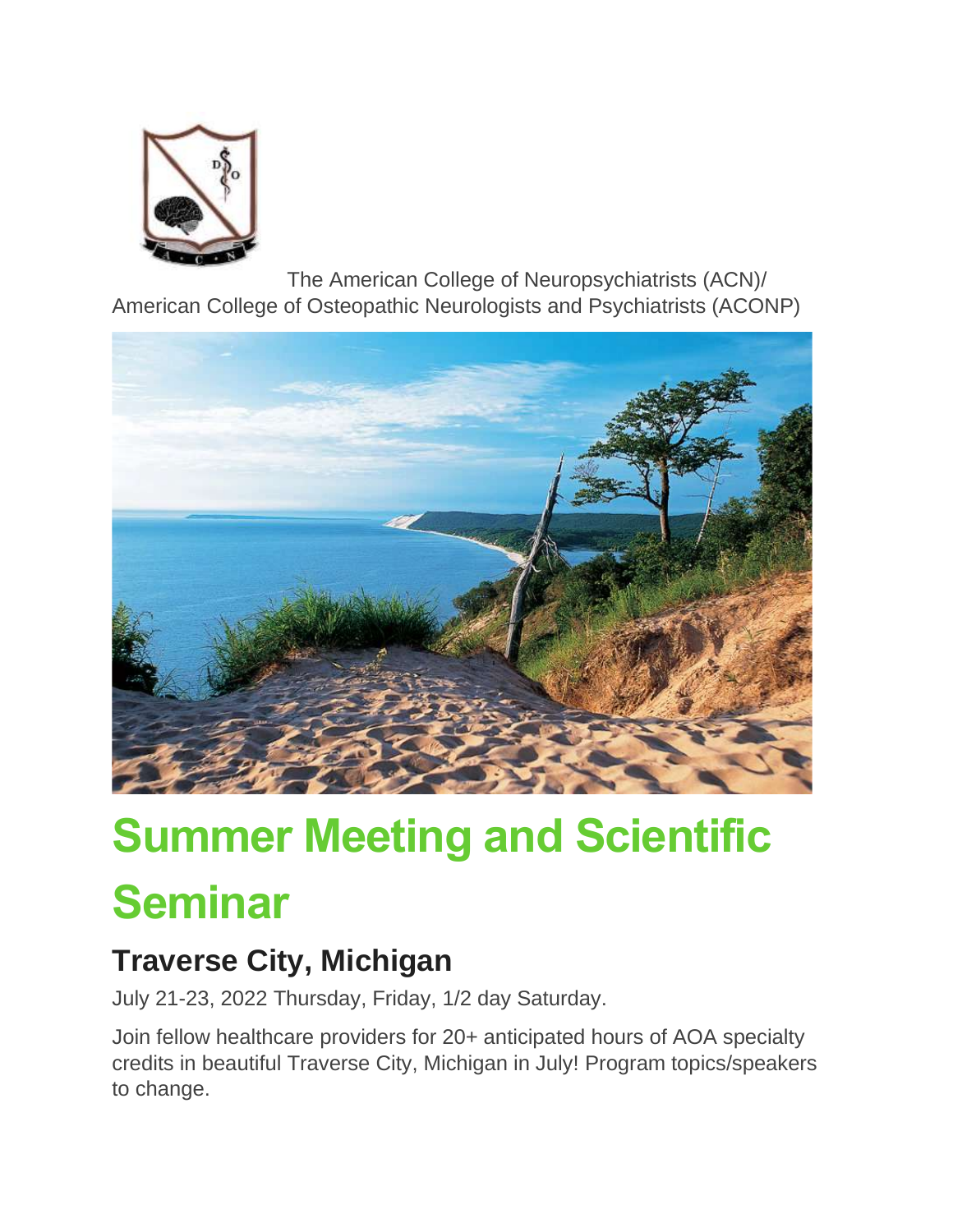

The American College of Neuropsychiatrists (ACN)/ American College of Osteopathic Neurologists and Psychiatrists (ACONP)



# **Summer Meeting and Scientific Seminar**

## **Traverse City, Michigan**

July 21-23, 2022 Thursday, Friday, 1/2 day Saturday.

Join fellow healthcare providers for 20+ anticipated hours of AOA specialty credits in beautiful Traverse City, Michigan in July! Program topics/speakers to change.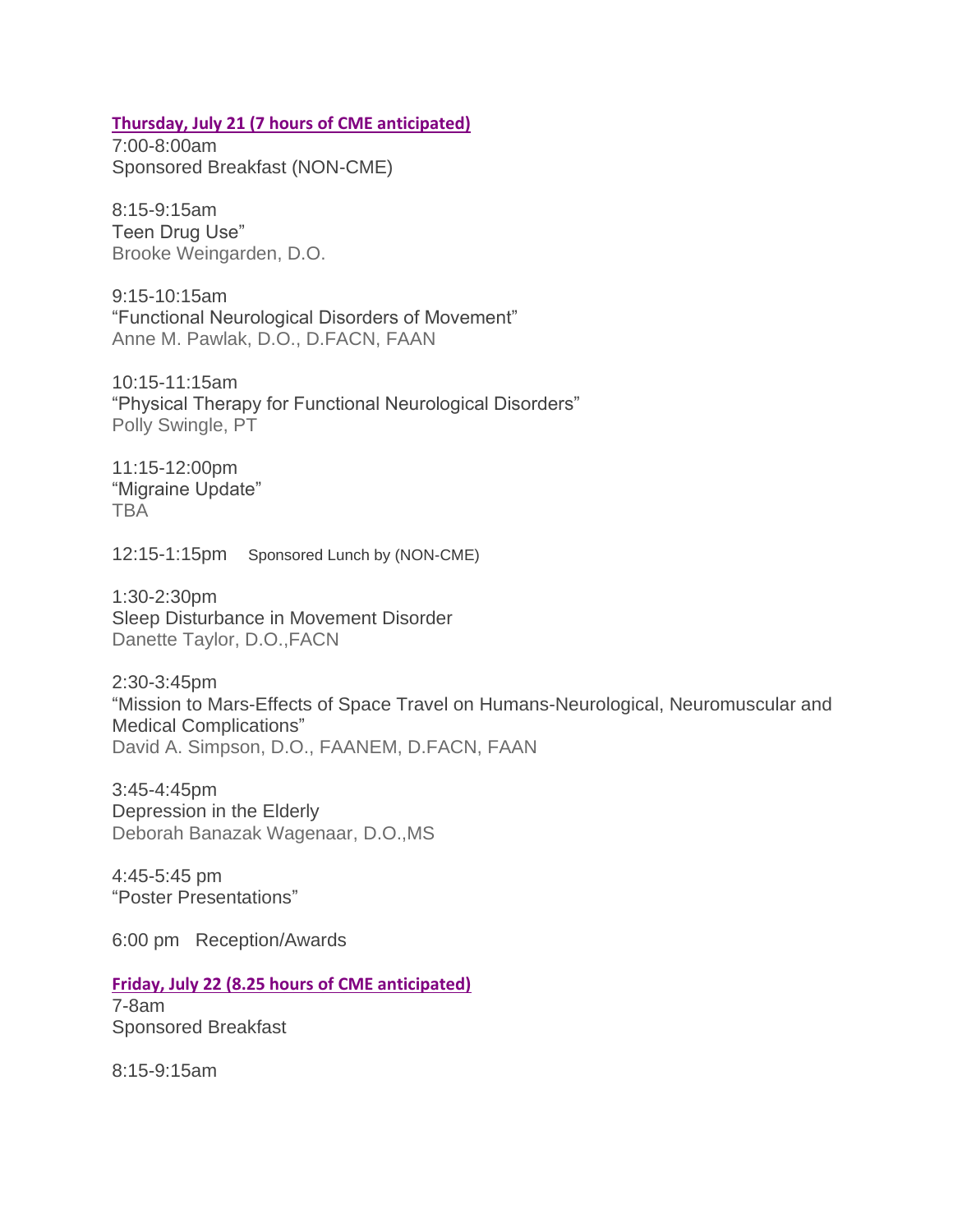#### **Thursday, July 21 (7 hours of CME anticipated)**

7:00-8:00am Sponsored Breakfast (NON-CME)

8:15-9:15am Teen Drug Use" Brooke Weingarden, D.O.

9:15-10:15am "Functional Neurological Disorders of Movement" Anne M. Pawlak, D.O., D.FACN, FAAN

10:15-11:15am "Physical Therapy for Functional Neurological Disorders" Polly Swingle, PT

11:15-12:00pm "Migraine Update" TBA

12:15-1:15pm Sponsored Lunch by (NON-CME)

1:30-2:30pm Sleep Disturbance in Movement Disorder Danette Taylor, D.O.,FACN

2:30-3:45pm "Mission to Mars-Effects of Space Travel on Humans-Neurological, Neuromuscular and Medical Complications" David A. Simpson, D.O., FAANEM, D.FACN, FAAN

3:45-4:45pm Depression in the Elderly Deborah Banazak Wagenaar, D.O.,MS

4:45-5:45 pm "Poster Presentations"

6:00 pm Reception/Awards

**Friday, July 22 (8.25 hours of CME anticipated)**

7-8am Sponsored Breakfast

8:15-9:15am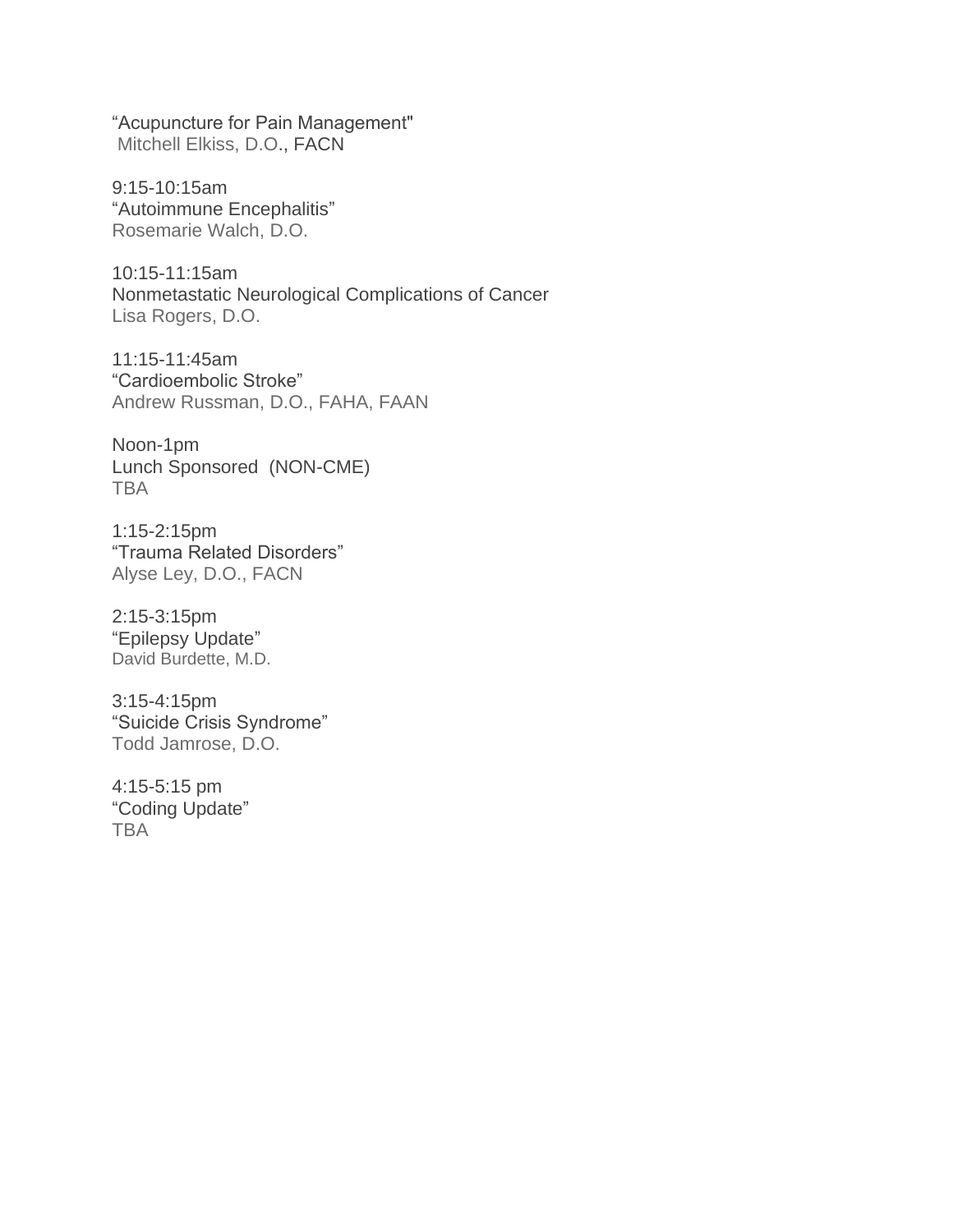"Acupuncture for Pain Management" Mitchell Elkiss, D.O., FACN

9:15-10:15am "Autoimmune Encephalitis" Rosemarie Walch, D.O.

10:15-11:15am Nonmetastatic Neurological Complications of Cancer Lisa Rogers, D.O.

11:15-11:45am "Cardioembolic Stroke" Andrew Russman, D.O., FAHA, FAAN

Noon-1pm Lunch Sponsored (NON-CME) TBA

1:15-2:15pm "Trauma Related Disorders" Alyse Ley, D.O., FACN

2:15-3:15pm "Epilepsy Update" David Burdette, M.D.

3:15-4:15pm "Suicide Crisis Syndrome" Todd Jamrose, D.O.

4:15-5:15 pm "Coding Update" **TBA**